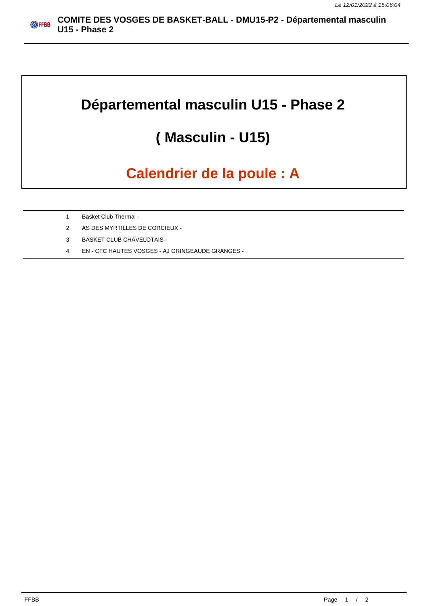## **Départemental masculin U15 - Phase 2**

## **( Masculin - U15)**

## **Calendrier de la poule : A**

- 1 Basket Club Thermal -
- 2 AS DES MYRTILLES DE CORCIEUX -
- 3 BASKET CLUB CHAVELOTAIS -
- 4 EN CTC HAUTES VOSGES AJ GRINGEAUDE GRANGES -